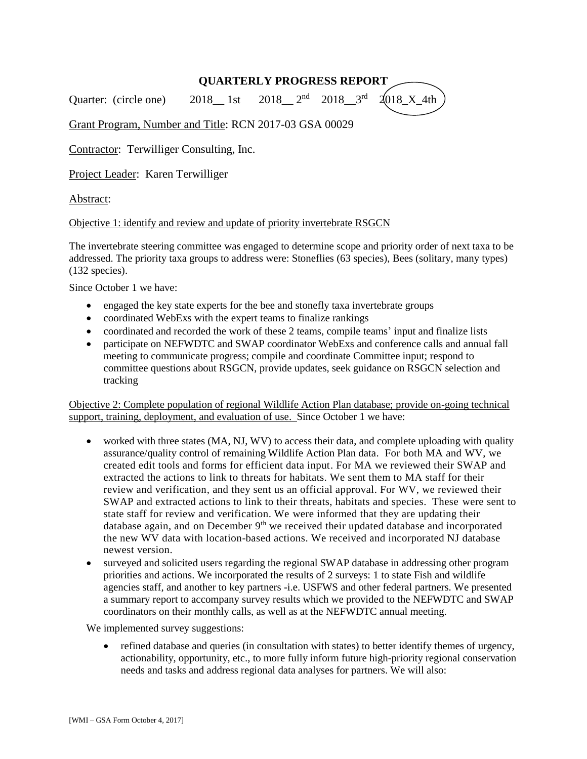# **QUARTERLY PROGRESS REPORT**

Quarter: (circle one)  $2018$  1st 2018 $3^{\text{rd}}$  2018 $X_4$ th

Grant Program, Number and Title: RCN 2017-03 GSA 00029

Contractor: Terwilliger Consulting, Inc.

Project Leader: Karen Terwilliger

## Abstract:

#### Objective 1: identify and review and update of priority invertebrate RSGCN

The invertebrate steering committee was engaged to determine scope and priority order of next taxa to be addressed. The priority taxa groups to address were: Stoneflies (63 species), Bees (solitary, many types) (132 species).

Since October 1 we have:

- engaged the key state experts for the bee and stonefly taxa invertebrate groups
- coordinated WebExs with the expert teams to finalize rankings
- coordinated and recorded the work of these 2 teams, compile teams' input and finalize lists
- participate on NEFWDTC and SWAP coordinator WebExs and conference calls and annual fall meeting to communicate progress; compile and coordinate Committee input; respond to committee questions about RSGCN, provide updates, seek guidance on RSGCN selection and tracking

Objective 2: Complete population of regional Wildlife Action Plan database; provide on-going technical support, training, deployment, and evaluation of use. Since October 1 we have:

- worked with three states (MA, NJ, WV) to access their data, and complete uploading with quality assurance/quality control of remaining Wildlife Action Plan data. For both MA and WV, we created edit tools and forms for efficient data input. For MA we reviewed their SWAP and extracted the actions to link to threats for habitats. We sent them to MA staff for their review and verification, and they sent us an official approval. For WV, we reviewed their SWAP and extracted actions to link to their threats, habitats and species. These were sent to state staff for review and verification. We were informed that they are updating their database again, and on December 9<sup>th</sup> we received their updated database and incorporated the new WV data with location-based actions. We received and incorporated NJ database newest version.
- surveyed and solicited users regarding the regional SWAP database in addressing other program priorities and actions. We incorporated the results of 2 surveys: 1 to state Fish and wildlife agencies staff, and another to key partners -i.e. USFWS and other federal partners. We presented a summary report to accompany survey results which we provided to the NEFWDTC and SWAP coordinators on their monthly calls, as well as at the NEFWDTC annual meeting.

We implemented survey suggestions:

• refined database and queries (in consultation with states) to better identify themes of urgency, actionability, opportunity, etc., to more fully inform future high-priority regional conservation needs and tasks and address regional data analyses for partners. We will also: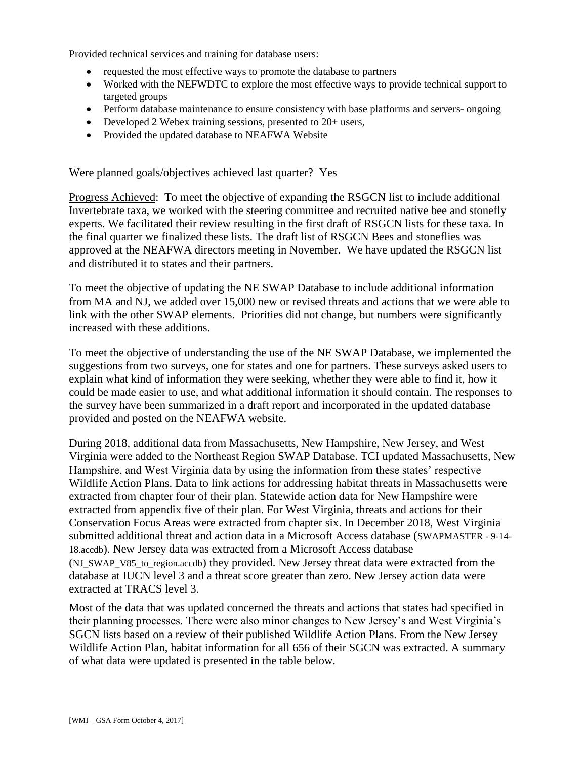Provided technical services and training for database users:

- requested the most effective ways to promote the database to partners
- Worked with the NEFWDTC to explore the most effective ways to provide technical support to targeted groups
- Perform database maintenance to ensure consistency with base platforms and servers- ongoing
- Developed 2 Webex training sessions, presented to 20+ users,
- Provided the updated database to NEAFWA Website

### Were planned goals/objectives achieved last quarter? Yes

Progress Achieved: To meet the objective of expanding the RSGCN list to include additional Invertebrate taxa, we worked with the steering committee and recruited native bee and stonefly experts. We facilitated their review resulting in the first draft of RSGCN lists for these taxa. In the final quarter we finalized these lists. The draft list of RSGCN Bees and stoneflies was approved at the NEAFWA directors meeting in November. We have updated the RSGCN list and distributed it to states and their partners.

To meet the objective of updating the NE SWAP Database to include additional information from MA and NJ, we added over 15,000 new or revised threats and actions that we were able to link with the other SWAP elements. Priorities did not change, but numbers were significantly increased with these additions.

To meet the objective of understanding the use of the NE SWAP Database, we implemented the suggestions from two surveys, one for states and one for partners. These surveys asked users to explain what kind of information they were seeking, whether they were able to find it, how it could be made easier to use, and what additional information it should contain. The responses to the survey have been summarized in a draft report and incorporated in the updated database provided and posted on the NEAFWA website.

During 2018, additional data from Massachusetts, New Hampshire, New Jersey, and West Virginia were added to the Northeast Region SWAP Database. TCI updated Massachusetts, New Hampshire, and West Virginia data by using the information from these states' respective Wildlife Action Plans. Data to link actions for addressing habitat threats in Massachusetts were extracted from chapter four of their plan. Statewide action data for New Hampshire were extracted from appendix five of their plan. For West Virginia, threats and actions for their Conservation Focus Areas were extracted from chapter six. In December 2018, West Virginia submitted additional threat and action data in a Microsoft Access database (SWAPMASTER - 9-14- 18.accdb). New Jersey data was extracted from a Microsoft Access database (NJ\_SWAP\_V85\_to\_region.accdb) they provided. New Jersey threat data were extracted from the database at IUCN level 3 and a threat score greater than zero. New Jersey action data were extracted at TRACS level 3.

Most of the data that was updated concerned the threats and actions that states had specified in their planning processes. There were also minor changes to New Jersey's and West Virginia's SGCN lists based on a review of their published Wildlife Action Plans. From the New Jersey Wildlife Action Plan, habitat information for all 656 of their SGCN was extracted. A summary of what data were updated is presented in the table below.